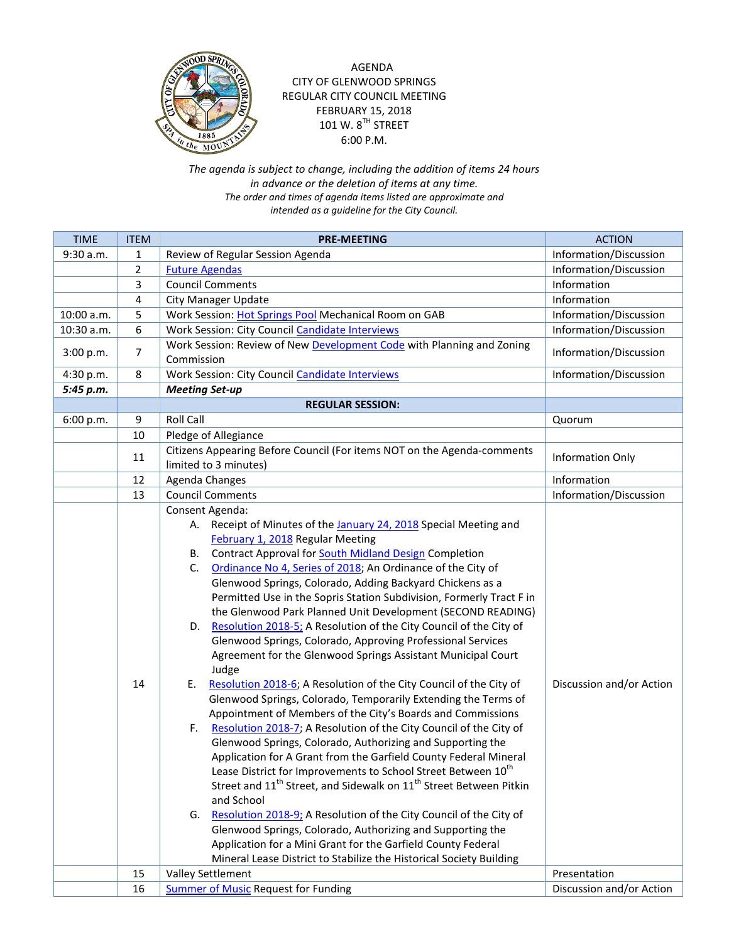

## AGENDA CITY OF GLENWOOD SPRINGS REGULAR CITY COUNCIL MEETING FEBRUARY 15, 2018 101 W.  $8^{TH}$  STREET 6:00 P.M.

*The agenda is subject to change, including the addition of items 24 hours in advance or the deletion of items at any time. The order and times of agenda items listed are approximate and intended as a guideline for the City Council.*

| <b>TIME</b> | <b>ITEM</b>    | <b>PRE-MEETING</b>                                                                                                                                                                                                                                                                                                                                                                                                                                                                                                                                                                                                                                                                                                                                                                                                                                                                                                                                                                                                                                                                                                                                                                                                                                                                                                                                                                                                                                                                                                                                                                           | <b>ACTION</b>            |
|-------------|----------------|----------------------------------------------------------------------------------------------------------------------------------------------------------------------------------------------------------------------------------------------------------------------------------------------------------------------------------------------------------------------------------------------------------------------------------------------------------------------------------------------------------------------------------------------------------------------------------------------------------------------------------------------------------------------------------------------------------------------------------------------------------------------------------------------------------------------------------------------------------------------------------------------------------------------------------------------------------------------------------------------------------------------------------------------------------------------------------------------------------------------------------------------------------------------------------------------------------------------------------------------------------------------------------------------------------------------------------------------------------------------------------------------------------------------------------------------------------------------------------------------------------------------------------------------------------------------------------------------|--------------------------|
| 9:30 a.m.   | 1              | Review of Regular Session Agenda                                                                                                                                                                                                                                                                                                                                                                                                                                                                                                                                                                                                                                                                                                                                                                                                                                                                                                                                                                                                                                                                                                                                                                                                                                                                                                                                                                                                                                                                                                                                                             | Information/Discussion   |
|             | $\overline{2}$ | <b>Future Agendas</b>                                                                                                                                                                                                                                                                                                                                                                                                                                                                                                                                                                                                                                                                                                                                                                                                                                                                                                                                                                                                                                                                                                                                                                                                                                                                                                                                                                                                                                                                                                                                                                        | Information/Discussion   |
|             | 3              | <b>Council Comments</b>                                                                                                                                                                                                                                                                                                                                                                                                                                                                                                                                                                                                                                                                                                                                                                                                                                                                                                                                                                                                                                                                                                                                                                                                                                                                                                                                                                                                                                                                                                                                                                      | Information              |
|             | 4              | <b>City Manager Update</b>                                                                                                                                                                                                                                                                                                                                                                                                                                                                                                                                                                                                                                                                                                                                                                                                                                                                                                                                                                                                                                                                                                                                                                                                                                                                                                                                                                                                                                                                                                                                                                   | Information              |
| 10:00 a.m.  | 5              | Work Session: Hot Springs Pool Mechanical Room on GAB                                                                                                                                                                                                                                                                                                                                                                                                                                                                                                                                                                                                                                                                                                                                                                                                                                                                                                                                                                                                                                                                                                                                                                                                                                                                                                                                                                                                                                                                                                                                        | Information/Discussion   |
| 10:30 a.m.  | 6              | Work Session: City Council Candidate Interviews                                                                                                                                                                                                                                                                                                                                                                                                                                                                                                                                                                                                                                                                                                                                                                                                                                                                                                                                                                                                                                                                                                                                                                                                                                                                                                                                                                                                                                                                                                                                              | Information/Discussion   |
| 3:00 p.m.   | $\overline{7}$ | Work Session: Review of New Development Code with Planning and Zoning<br>Commission                                                                                                                                                                                                                                                                                                                                                                                                                                                                                                                                                                                                                                                                                                                                                                                                                                                                                                                                                                                                                                                                                                                                                                                                                                                                                                                                                                                                                                                                                                          | Information/Discussion   |
| 4:30 p.m.   | 8              | Work Session: City Council Candidate Interviews                                                                                                                                                                                                                                                                                                                                                                                                                                                                                                                                                                                                                                                                                                                                                                                                                                                                                                                                                                                                                                                                                                                                                                                                                                                                                                                                                                                                                                                                                                                                              | Information/Discussion   |
| 5:45 p.m.   |                | <b>Meeting Set-up</b>                                                                                                                                                                                                                                                                                                                                                                                                                                                                                                                                                                                                                                                                                                                                                                                                                                                                                                                                                                                                                                                                                                                                                                                                                                                                                                                                                                                                                                                                                                                                                                        |                          |
|             |                | <b>REGULAR SESSION:</b>                                                                                                                                                                                                                                                                                                                                                                                                                                                                                                                                                                                                                                                                                                                                                                                                                                                                                                                                                                                                                                                                                                                                                                                                                                                                                                                                                                                                                                                                                                                                                                      |                          |
| 6:00 p.m.   | 9              | <b>Roll Call</b>                                                                                                                                                                                                                                                                                                                                                                                                                                                                                                                                                                                                                                                                                                                                                                                                                                                                                                                                                                                                                                                                                                                                                                                                                                                                                                                                                                                                                                                                                                                                                                             | Quorum                   |
|             | 10             | Pledge of Allegiance                                                                                                                                                                                                                                                                                                                                                                                                                                                                                                                                                                                                                                                                                                                                                                                                                                                                                                                                                                                                                                                                                                                                                                                                                                                                                                                                                                                                                                                                                                                                                                         |                          |
|             | 11             | Citizens Appearing Before Council (For items NOT on the Agenda-comments<br>limited to 3 minutes)                                                                                                                                                                                                                                                                                                                                                                                                                                                                                                                                                                                                                                                                                                                                                                                                                                                                                                                                                                                                                                                                                                                                                                                                                                                                                                                                                                                                                                                                                             | Information Only         |
|             | 12             | Agenda Changes                                                                                                                                                                                                                                                                                                                                                                                                                                                                                                                                                                                                                                                                                                                                                                                                                                                                                                                                                                                                                                                                                                                                                                                                                                                                                                                                                                                                                                                                                                                                                                               | Information              |
|             | 13             | <b>Council Comments</b>                                                                                                                                                                                                                                                                                                                                                                                                                                                                                                                                                                                                                                                                                                                                                                                                                                                                                                                                                                                                                                                                                                                                                                                                                                                                                                                                                                                                                                                                                                                                                                      | Information/Discussion   |
|             | 14             | Consent Agenda:<br>Receipt of Minutes of the January 24, 2018 Special Meeting and<br>А.<br>February 1, 2018 Regular Meeting<br>Contract Approval for South Midland Design Completion<br>В.<br>Ordinance No 4, Series of 2018; An Ordinance of the City of<br>C.<br>Glenwood Springs, Colorado, Adding Backyard Chickens as a<br>Permitted Use in the Sopris Station Subdivision, Formerly Tract F in<br>the Glenwood Park Planned Unit Development (SECOND READING)<br>Resolution 2018-5; A Resolution of the City Council of the City of<br>D.<br>Glenwood Springs, Colorado, Approving Professional Services<br>Agreement for the Glenwood Springs Assistant Municipal Court<br>Judge<br>Resolution 2018-6; A Resolution of the City Council of the City of<br>E.<br>Glenwood Springs, Colorado, Temporarily Extending the Terms of<br>Appointment of Members of the City's Boards and Commissions<br>Resolution 2018-7; A Resolution of the City Council of the City of<br>F.<br>Glenwood Springs, Colorado, Authorizing and Supporting the<br>Application for A Grant from the Garfield County Federal Mineral<br>Lease District for Improvements to School Street Between 10 <sup>th</sup><br>Street and 11 <sup>th</sup> Street, and Sidewalk on 11 <sup>th</sup> Street Between Pitkin<br>and School<br>Resolution 2018-9; A Resolution of the City Council of the City of<br>G.<br>Glenwood Springs, Colorado, Authorizing and Supporting the<br>Application for a Mini Grant for the Garfield County Federal<br>Mineral Lease District to Stabilize the Historical Society Building | Discussion and/or Action |
|             | 15             | Valley Settlement                                                                                                                                                                                                                                                                                                                                                                                                                                                                                                                                                                                                                                                                                                                                                                                                                                                                                                                                                                                                                                                                                                                                                                                                                                                                                                                                                                                                                                                                                                                                                                            | Presentation             |
|             | 16             | Summer of Music Request for Funding                                                                                                                                                                                                                                                                                                                                                                                                                                                                                                                                                                                                                                                                                                                                                                                                                                                                                                                                                                                                                                                                                                                                                                                                                                                                                                                                                                                                                                                                                                                                                          | Discussion and/or Action |